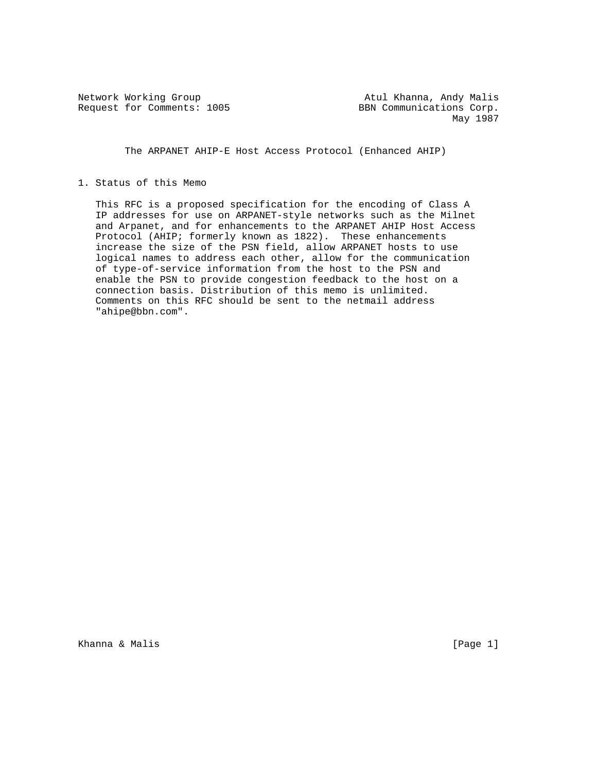Request for Comments: 1005 BBN Communications Corp.

Network Working Group Atul Khanna, Andy Malis May 1987

The ARPANET AHIP-E Host Access Protocol (Enhanced AHIP)

## 1. Status of this Memo

 This RFC is a proposed specification for the encoding of Class A IP addresses for use on ARPANET-style networks such as the Milnet and Arpanet, and for enhancements to the ARPANET AHIP Host Access Protocol (AHIP; formerly known as 1822). These enhancements increase the size of the PSN field, allow ARPANET hosts to use logical names to address each other, allow for the communication of type-of-service information from the host to the PSN and enable the PSN to provide congestion feedback to the host on a connection basis. Distribution of this memo is unlimited. Comments on this RFC should be sent to the netmail address "ahipe@bbn.com".

Khanna & Malis **Example 2018** [Page 1]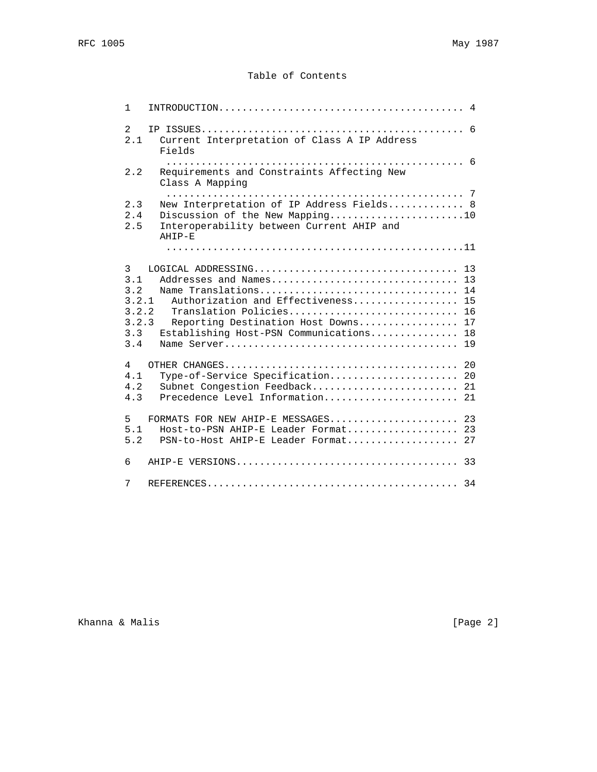# Table of Contents

| $\mathbf{1}$                                             |                                                                                                                                                                                                            |
|----------------------------------------------------------|------------------------------------------------------------------------------------------------------------------------------------------------------------------------------------------------------------|
| 2<br>2.1                                                 | Current Interpretation of Class A IP Address<br>Fields                                                                                                                                                     |
| 2.2                                                      | Requirements and Constraints Affecting New<br>Class A Mapping                                                                                                                                              |
| 2.3<br>2.4<br>2.5                                        | New Interpretation of IP Address Fields 8<br>Discussion of the New Mapping10<br>Interoperability between Current AHIP and<br>AHIP-E                                                                        |
|                                                          |                                                                                                                                                                                                            |
| 3<br>3.1<br>3.2<br>3.2.1<br>3.2.2<br>3.2.3<br>3.3<br>3.4 | Addresses and Names 13<br>Name Translations 14<br>Authorization and Effectiveness 15<br>Translation Policies 16<br>Reporting Destination Host Downs 17<br>Establishing Host-PSN Communications<br>18<br>19 |
| $\overline{4}$<br>4.1<br>4.2<br>4.3                      | Type-of-Service Specification 20<br>Subnet Congestion Feedback 21<br>Precedence Level Information 21                                                                                                       |
| 5<br>5.1<br>5.2                                          | FORMATS FOR NEW AHIP-E MESSAGES 23<br>Host-to-PSN AHIP-E Leader Format 23<br>PSN-to-Host AHIP-E Leader Format 27                                                                                           |
| 6                                                        |                                                                                                                                                                                                            |
| 7                                                        |                                                                                                                                                                                                            |

Khanna & Malis **Example 2** (Page 2)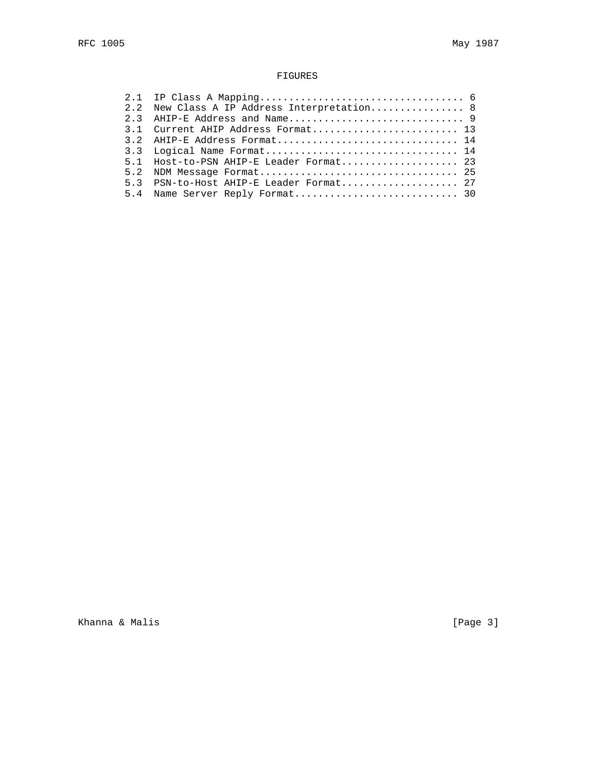## FIGURES

| 2.2 New Class A IP Address Interpretation 8 |
|---------------------------------------------|
|                                             |
| 3.1 Current AHIP Address Format 13          |
|                                             |
| 3.3 Logical Name Format 14                  |
| 5.1 Host-to-PSN AHIP-E Leader Format 23     |
|                                             |
| 5.3 PSN-to-Host AHIP-E Leader Format 27     |
|                                             |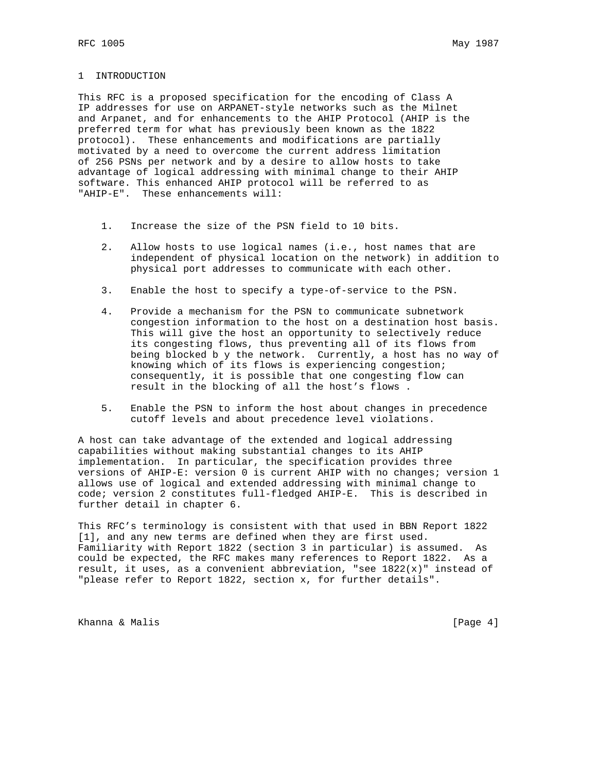#### 1 INTRODUCTION

This RFC is a proposed specification for the encoding of Class A IP addresses for use on ARPANET-style networks such as the Milnet and Arpanet, and for enhancements to the AHIP Protocol (AHIP is the preferred term for what has previously been known as the 1822 protocol). These enhancements and modifications are partially motivated by a need to overcome the current address limitation of 256 PSNs per network and by a desire to allow hosts to take advantage of logical addressing with minimal change to their AHIP software. This enhanced AHIP protocol will be referred to as "AHIP-E". These enhancements will:

- 1. Increase the size of the PSN field to 10 bits.
- 2. Allow hosts to use logical names (i.e., host names that are independent of physical location on the network) in addition to physical port addresses to communicate with each other.
- 3. Enable the host to specify a type-of-service to the PSN.
- 4. Provide a mechanism for the PSN to communicate subnetwork congestion information to the host on a destination host basis. This will give the host an opportunity to selectively reduce its congesting flows, thus preventing all of its flows from being blocked b y the network. Currently, a host has no way of knowing which of its flows is experiencing congestion; consequently, it is possible that one congesting flow can result in the blocking of all the host's flows .
- 5. Enable the PSN to inform the host about changes in precedence cutoff levels and about precedence level violations.

A host can take advantage of the extended and logical addressing capabilities without making substantial changes to its AHIP implementation. In particular, the specification provides three versions of AHIP-E: version 0 is current AHIP with no changes; version 1 allows use of logical and extended addressing with minimal change to code; version 2 constitutes full-fledged AHIP-E. This is described in further detail in chapter 6.

This RFC's terminology is consistent with that used in BBN Report 1822 [1], and any new terms are defined when they are first used. Familiarity with Report 1822 (section 3 in particular) is assumed. As could be expected, the RFC makes many references to Report 1822. As a result, it uses, as a convenient abbreviation, "see  $1822(x)$ " instead of "please refer to Report 1822, section x, for further details".

Khanna & Malis **Example 2018** [Page 4]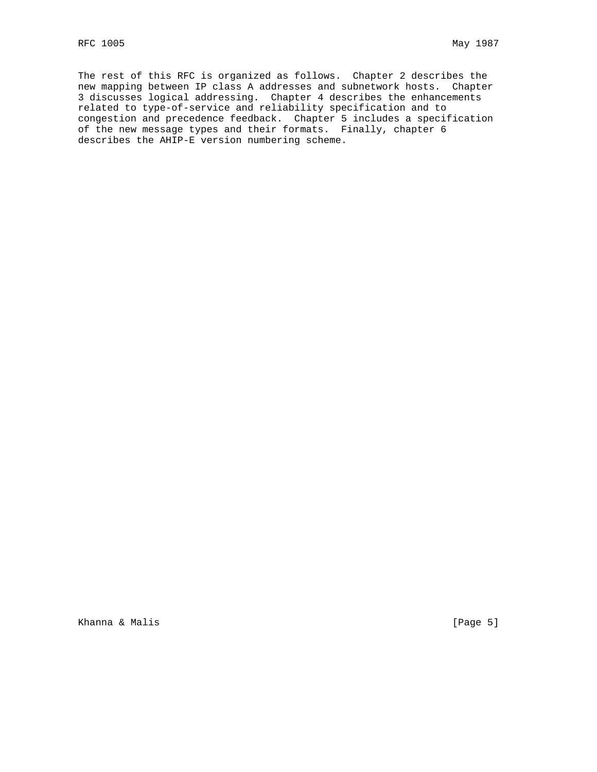The rest of this RFC is organized as follows. Chapter 2 describes the new mapping between IP class A addresses and subnetwork hosts. Chapter 3 discusses logical addressing. Chapter 4 describes the enhancements related to type-of-service and reliability specification and to congestion and precedence feedback. Chapter 5 includes a specification of the new message types and their formats. Finally, chapter 6 describes the AHIP-E version numbering scheme.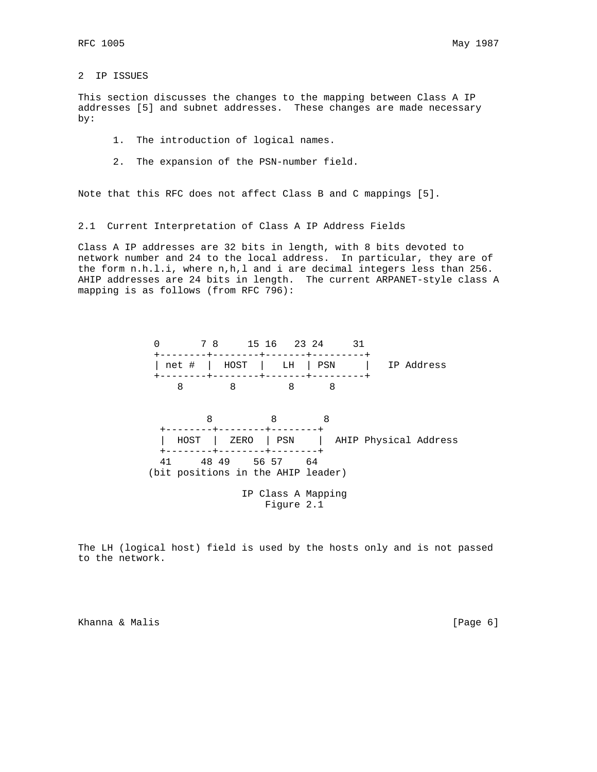### 2 IP ISSUES

This section discusses the changes to the mapping between Class A IP addresses [5] and subnet addresses. These changes are made necessary by:

- 1. The introduction of logical names.
- 2. The expansion of the PSN-number field.

Note that this RFC does not affect Class B and C mappings [5].

2.1 Current Interpretation of Class A IP Address Fields

Class A IP addresses are 32 bits in length, with 8 bits devoted to network number and 24 to the local address. In particular, they are of the form n.h.l.i, where n,h,l and i are decimal integers less than 256. AHIP addresses are 24 bits in length. The current ARPANET-style class A mapping is as follows (from RFC 796):



The LH (logical host) field is used by the hosts only and is not passed to the network.

Khanna & Malis **Extending Community** (Page 6)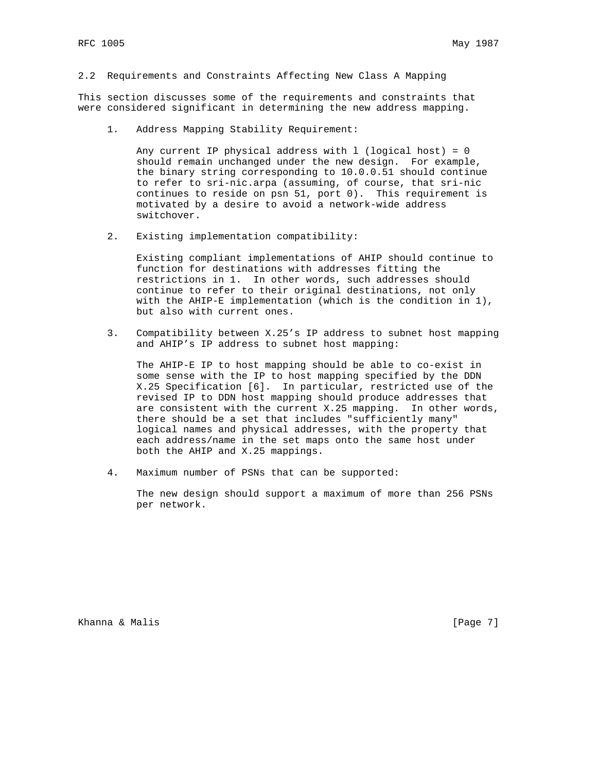2.2 Requirements and Constraints Affecting New Class A Mapping

This section discusses some of the requirements and constraints that were considered significant in determining the new address mapping.

1. Address Mapping Stability Requirement:

Any current IP physical address with  $l$  (logical host) = 0 should remain unchanged under the new design. For example, the binary string corresponding to 10.0.0.51 should continue to refer to sri-nic.arpa (assuming, of course, that sri-nic continues to reside on psn 51, port 0). This requirement is motivated by a desire to avoid a network-wide address switchover.

2. Existing implementation compatibility:

 Existing compliant implementations of AHIP should continue to function for destinations with addresses fitting the restrictions in 1. In other words, such addresses should continue to refer to their original destinations, not only with the AHIP-E implementation (which is the condition in 1), but also with current ones.

 3. Compatibility between X.25's IP address to subnet host mapping and AHIP's IP address to subnet host mapping:

 The AHIP-E IP to host mapping should be able to co-exist in some sense with the IP to host mapping specified by the DDN X.25 Specification [6]. In particular, restricted use of the revised IP to DDN host mapping should produce addresses that are consistent with the current X.25 mapping. In other words, there should be a set that includes "sufficiently many" logical names and physical addresses, with the property that each address/name in the set maps onto the same host under both the AHIP and X.25 mappings.

4. Maximum number of PSNs that can be supported:

 The new design should support a maximum of more than 256 PSNs per network.

Khanna & Malis **Example 2018** [Page 7]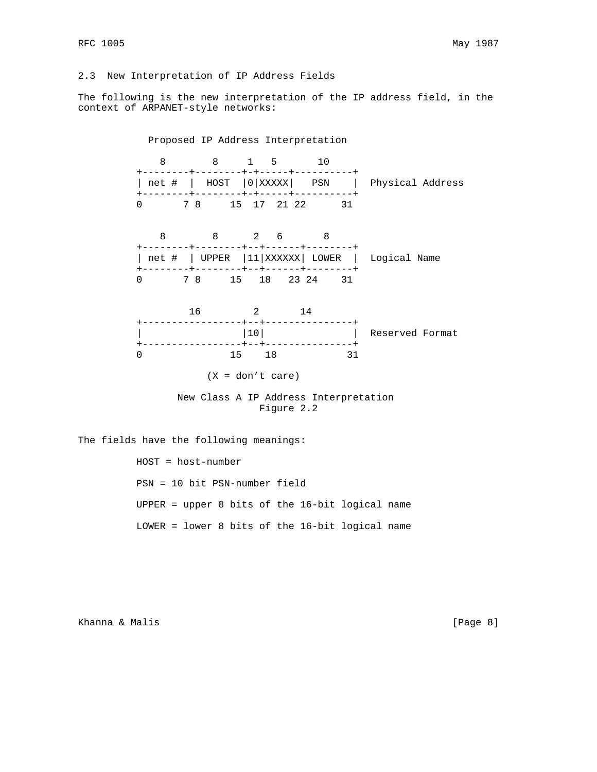## 2.3 New Interpretation of IP Address Fields

The following is the new interpretation of the IP address field, in the context of ARPANET-style networks:

 Proposed IP Address Interpretation 8 8 1 5 10 +--------+--------+-+-----+----------+ | net # | HOST |0|XXXXX| PSN | Physical Address +--------+--------+-+-----+----------+ 0 7 8 15 17 21 22 31 8 8 2 6 8 +--------+--------+--+------+--------+ | net # | UPPER | 11 | XXXXXX | LOWER | Logical Name +--------+--------+--+------+--------+ 0 7 8 15 18 23 24 31 16 2 14 +-----------------+--+---------------+ | |10| | Reserved Format +-----------------+--+---------------+ 0 15 18 31  $(X = don't care)$  New Class A IP Address Interpretation Figure 2.2

The fields have the following meanings:

 HOST = host-number PSN = 10 bit PSN-number field UPPER = upper 8 bits of the 16-bit logical name LOWER = lower 8 bits of the 16-bit logical name

Khanna & Malis **Expansion Communication** (Page 8)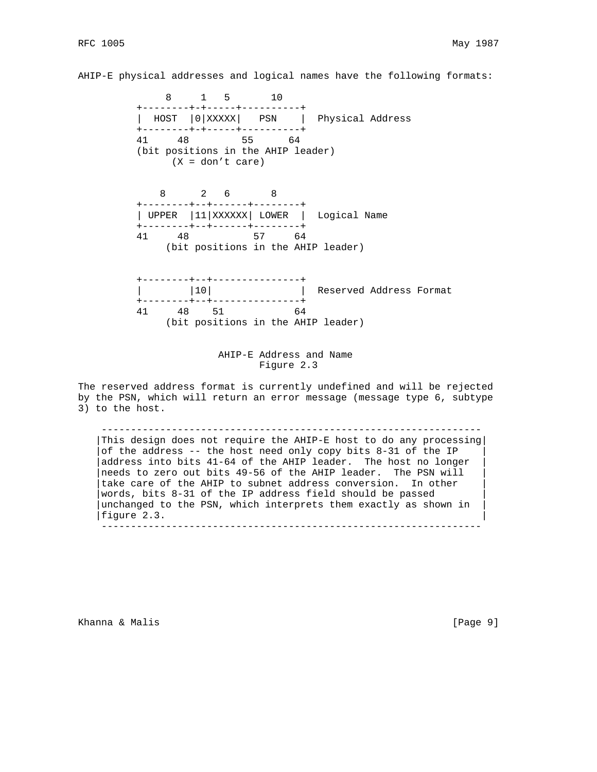AHIP-E physical addresses and logical names have the following formats:

 8 1 5 10 +--------+-+-----+----------+ | HOST |0|XXXXX| PSN | Physical Address +--------+-+-----+----------+ 41 48 55 64 (bit positions in the AHIP leader) (X = don't care) 8 2 6 8 +--------+--+------+--------+ | UPPER |11|XXXXXX| LOWER | Logical Name +--------+--+------+--------+ 41 48 57 64 (bit positions in the AHIP leader) +--------+--+---------------+ |  $|10|$  | Reserved Address Format +--------+--+---------------+ 41 48 51 64 (bit positions in the AHIP leader)

> AHIP-E Address and Name Figure 2.3

The reserved address format is currently undefined and will be rejected by the PSN, which will return an error message (message type 6, subtype 3) to the host.

 ----------------------------------------------------------------- |This design does not require the AHIP-E host to do any processing| of the address  $--$  the host need only copy bits 8-31 of the IP address into bits 41-64 of the AHIP leader. The host no longer needs to zero out bits 49-56 of the AHIP leader. The PSN will take care of the AHIP to subnet address conversion. In other words, bits 8-31 of the IP address field should be passed unchanged to the PSN, which interprets them exactly as shown in figure 2.3. -----------------------------------------------------------------

Khanna & Malis **Example 2018** (Page 9)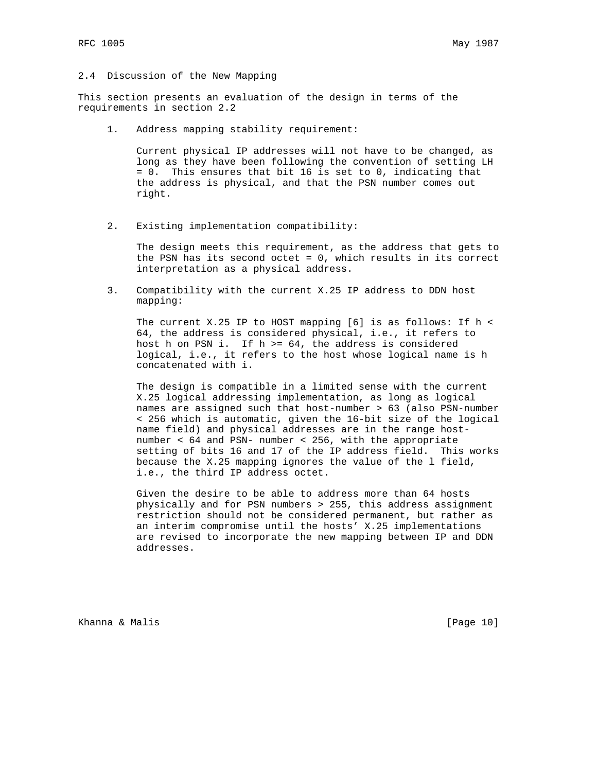### 2.4 Discussion of the New Mapping

This section presents an evaluation of the design in terms of the requirements in section 2.2

1. Address mapping stability requirement:

 Current physical IP addresses will not have to be changed, as long as they have been following the convention of setting LH = 0. This ensures that bit 16 is set to 0, indicating that the address is physical, and that the PSN number comes out right.

2. Existing implementation compatibility:

 The design meets this requirement, as the address that gets to the PSN has its second octet = 0, which results in its correct interpretation as a physical address.

 3. Compatibility with the current X.25 IP address to DDN host mapping:

 The current X.25 IP to HOST mapping [6] is as follows: If h < 64, the address is considered physical, i.e., it refers to host h on PSN i. If h >= 64, the address is considered logical, i.e., it refers to the host whose logical name is h concatenated with i.

> The design is compatible in a limited sense with the current X.25 logical addressing implementation, as long as logical names are assigned such that host-number > 63 (also PSN-number < 256 which is automatic, given the 16-bit size of the logical name field) and physical addresses are in the range host number < 64 and PSN- number < 256, with the appropriate setting of bits 16 and 17 of the IP address field. This works because the X.25 mapping ignores the value of the l field, i.e., the third IP address octet.

 Given the desire to be able to address more than 64 hosts physically and for PSN numbers > 255, this address assignment restriction should not be considered permanent, but rather as an interim compromise until the hosts' X.25 implementations are revised to incorporate the new mapping between IP and DDN addresses.

Khanna & Malis **Extending Community** (Page 10)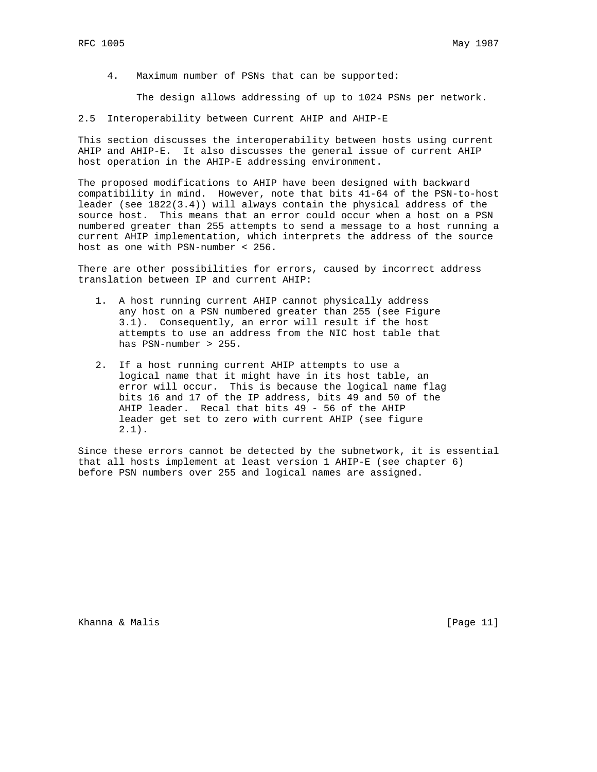4. Maximum number of PSNs that can be supported:

The design allows addressing of up to 1024 PSNs per network.

2.5 Interoperability between Current AHIP and AHIP-E

This section discusses the interoperability between hosts using current AHIP and AHIP-E. It also discusses the general issue of current AHIP host operation in the AHIP-E addressing environment.

The proposed modifications to AHIP have been designed with backward compatibility in mind. However, note that bits 41-64 of the PSN-to-host leader (see 1822(3.4)) will always contain the physical address of the source host. This means that an error could occur when a host on a PSN numbered greater than 255 attempts to send a message to a host running a current AHIP implementation, which interprets the address of the source host as one with PSN-number < 256.

There are other possibilities for errors, caused by incorrect address translation between IP and current AHIP:

- 1. A host running current AHIP cannot physically address any host on a PSN numbered greater than 255 (see Figure 3.1). Consequently, an error will result if the host attempts to use an address from the NIC host table that has PSN-number > 255.
- 2. If a host running current AHIP attempts to use a logical name that it might have in its host table, an error will occur. This is because the logical name flag bits 16 and 17 of the IP address, bits 49 and 50 of the AHIP leader. Recal that bits 49 - 56 of the AHIP leader get set to zero with current AHIP (see figure  $2.1$ .

Since these errors cannot be detected by the subnetwork, it is essential that all hosts implement at least version 1 AHIP-E (see chapter 6) before PSN numbers over 255 and logical names are assigned.

Khanna & Malis **Extending Community** (Page 11)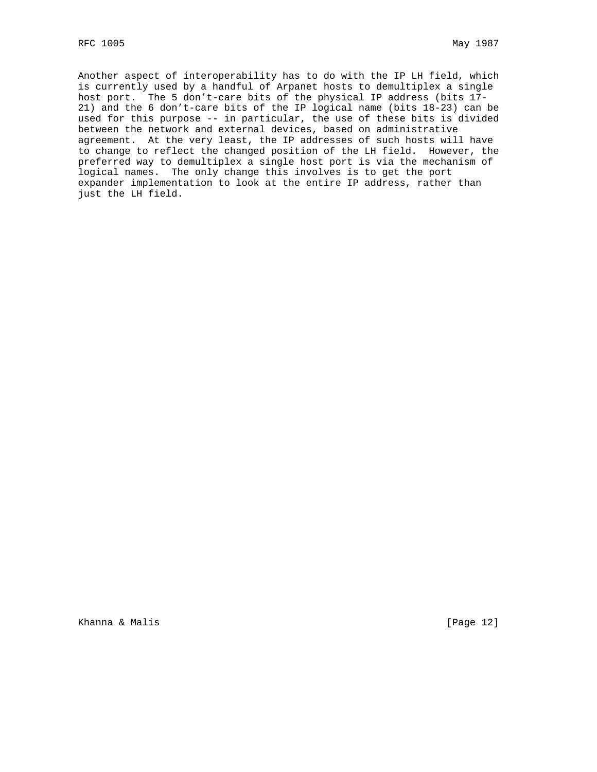Another aspect of interoperability has to do with the IP LH field, which is currently used by a handful of Arpanet hosts to demultiplex a single host port. The 5 don't-care bits of the physical IP address (bits 17- 21) and the 6 don't-care bits of the IP logical name (bits 18-23) can be used for this purpose -- in particular, the use of these bits is divided between the network and external devices, based on administrative agreement. At the very least, the IP addresses of such hosts will have to change to reflect the changed position of the LH field. However, the preferred way to demultiplex a single host port is via the mechanism of logical names. The only change this involves is to get the port expander implementation to look at the entire IP address, rather than just the LH field.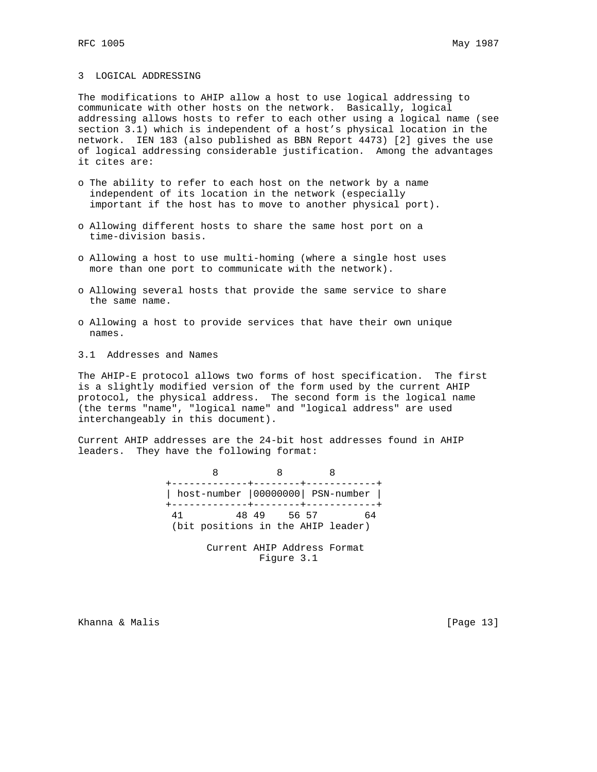#### 3 LOGICAL ADDRESSING

The modifications to AHIP allow a host to use logical addressing to communicate with other hosts on the network. Basically, logical addressing allows hosts to refer to each other using a logical name (see section 3.1) which is independent of a host's physical location in the network. IEN 183 (also published as BBN Report 4473) [2] gives the use of logical addressing considerable justification. Among the advantages it cites are:

- o The ability to refer to each host on the network by a name independent of its location in the network (especially important if the host has to move to another physical port).
- o Allowing different hosts to share the same host port on a time-division basis.
- o Allowing a host to use multi-homing (where a single host uses more than one port to communicate with the network).
- o Allowing several hosts that provide the same service to share the same name.
- o Allowing a host to provide services that have their own unique names.
- 3.1 Addresses and Names

The AHIP-E protocol allows two forms of host specification. The first is a slightly modified version of the form used by the current AHIP protocol, the physical address. The second form is the logical name (the terms "name", "logical name" and "logical address" are used interchangeably in this document).

Current AHIP addresses are the 24-bit host addresses found in AHIP leaders. They have the following format:

> 8 8 8 +-------------+--------+------------+ | host-number |00000000| PSN-number | +-------------+--------+------------+ 41 48 49 56 57 64 (bit positions in the AHIP leader)

> > Current AHIP Address Format Figure 3.1

Khanna & Malis **Extending Community** (Page 13)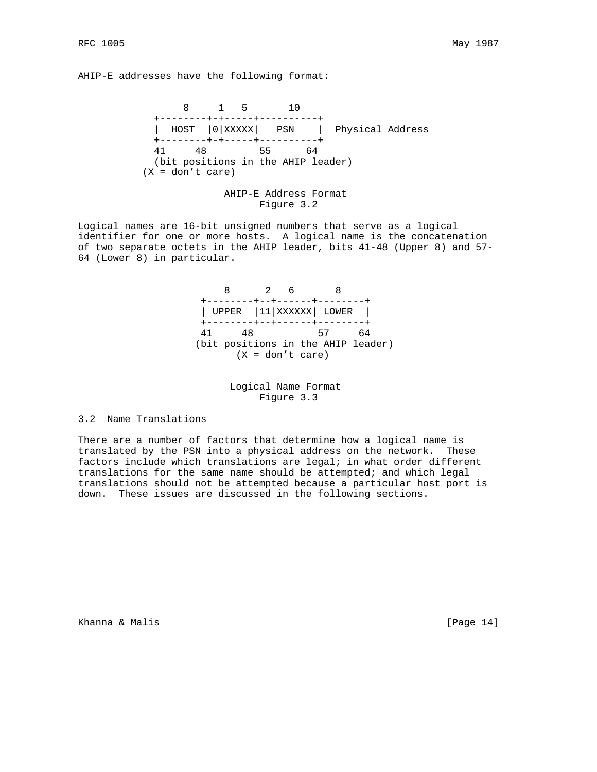AHIP-E addresses have the following format:

 8 1 5 10 +--------+-+-----+----------+ | HOST |0|XXXXX| PSN | Physical Address +--------+-+-----+----------+ 41 48 55 64 (bit positions in the AHIP leader)  $(X = don't care)$ 

 AHIP-E Address Format Figure 3.2

Logical names are 16-bit unsigned numbers that serve as a logical identifier for one or more hosts. A logical name is the concatenation of two separate octets in the AHIP leader, bits 41-48 (Upper 8) and 57- 64 (Lower 8) in particular.

> 8 2 6 8 +--------+--+------+--------+ | UPPER |11|XXXXXX| LOWER | +--------+--+------+--------+ 41 48 57 64 (bit positions in the AHIP leader) (X = don't care)

> > Logical Name Format Figure 3.3

#### 3.2 Name Translations

There are a number of factors that determine how a logical name is translated by the PSN into a physical address on the network. These factors include which translations are legal; in what order different translations for the same name should be attempted; and which legal translations should not be attempted because a particular host port is down. These issues are discussed in the following sections.

Khanna & Malis **Extending Community** (Page 14)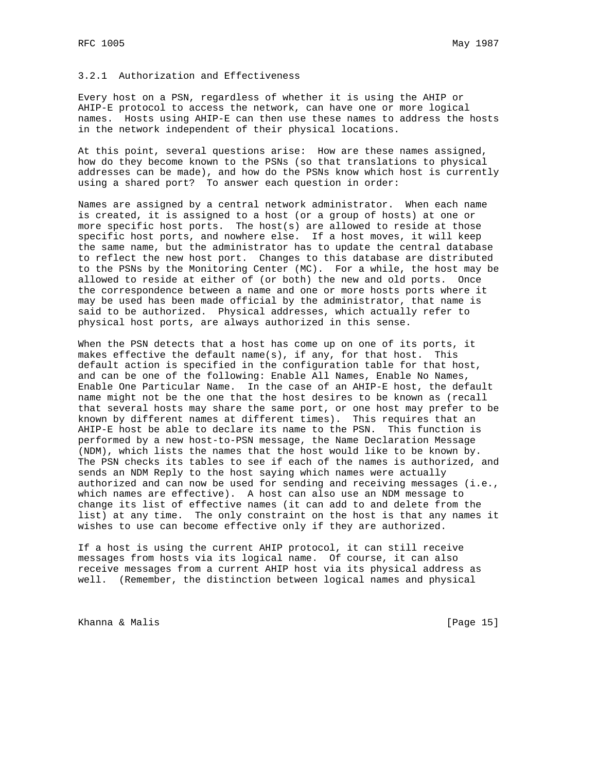### 3.2.1 Authorization and Effectiveness

Every host on a PSN, regardless of whether it is using the AHIP or AHIP-E protocol to access the network, can have one or more logical names. Hosts using AHIP-E can then use these names to address the hosts in the network independent of their physical locations.

At this point, several questions arise: How are these names assigned, how do they become known to the PSNs (so that translations to physical addresses can be made), and how do the PSNs know which host is currently using a shared port? To answer each question in order:

Names are assigned by a central network administrator. When each name is created, it is assigned to a host (or a group of hosts) at one or more specific host ports. The host(s) are allowed to reside at those specific host ports, and nowhere else. If a host moves, it will keep the same name, but the administrator has to update the central database to reflect the new host port. Changes to this database are distributed to the PSNs by the Monitoring Center (MC). For a while, the host may be allowed to reside at either of (or both) the new and old ports. Once the correspondence between a name and one or more hosts ports where it may be used has been made official by the administrator, that name is said to be authorized. Physical addresses, which actually refer to physical host ports, are always authorized in this sense.

When the PSN detects that a host has come up on one of its ports, it makes effective the default name(s), if any, for that host. This default action is specified in the configuration table for that host, and can be one of the following: Enable All Names, Enable No Names, Enable One Particular Name. In the case of an AHIP-E host, the default name might not be the one that the host desires to be known as (recall that several hosts may share the same port, or one host may prefer to be known by different names at different times). This requires that an AHIP-E host be able to declare its name to the PSN. This function is performed by a new host-to-PSN message, the Name Declaration Message (NDM), which lists the names that the host would like to be known by. The PSN checks its tables to see if each of the names is authorized, and sends an NDM Reply to the host saying which names were actually authorized and can now be used for sending and receiving messages (i.e., which names are effective). A host can also use an NDM message to change its list of effective names (it can add to and delete from the list) at any time. The only constraint on the host is that any names it wishes to use can become effective only if they are authorized.

If a host is using the current AHIP protocol, it can still receive messages from hosts via its logical name. Of course, it can also receive messages from a current AHIP host via its physical address as well. (Remember, the distinction between logical names and physical

Khanna & Malis **Extending Community** (Page 15)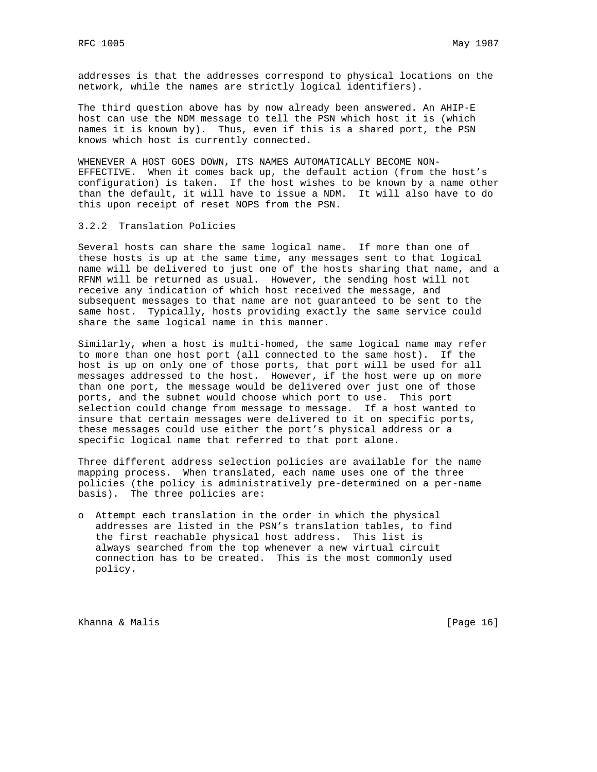addresses is that the addresses correspond to physical locations on the network, while the names are strictly logical identifiers).

The third question above has by now already been answered. An AHIP-E host can use the NDM message to tell the PSN which host it is (which names it is known by). Thus, even if this is a shared port, the PSN knows which host is currently connected.

WHENEVER A HOST GOES DOWN, ITS NAMES AUTOMATICALLY BECOME NON-EFFECTIVE. When it comes back up, the default action (from the host's configuration) is taken. If the host wishes to be known by a name other than the default, it will have to issue a NDM. It will also have to do this upon receipt of reset NOPS from the PSN.

### 3.2.2 Translation Policies

Several hosts can share the same logical name. If more than one of these hosts is up at the same time, any messages sent to that logical name will be delivered to just one of the hosts sharing that name, and a RFNM will be returned as usual. However, the sending host will not receive any indication of which host received the message, and subsequent messages to that name are not guaranteed to be sent to the same host. Typically, hosts providing exactly the same service could share the same logical name in this manner.

Similarly, when a host is multi-homed, the same logical name may refer to more than one host port (all connected to the same host). If the host is up on only one of those ports, that port will be used for all messages addressed to the host. However, if the host were up on more than one port, the message would be delivered over just one of those ports, and the subnet would choose which port to use. This port selection could change from message to message. If a host wanted to insure that certain messages were delivered to it on specific ports, these messages could use either the port's physical address or a specific logical name that referred to that port alone.

Three different address selection policies are available for the name mapping process. When translated, each name uses one of the three policies (the policy is administratively pre-determined on a per-name basis). The three policies are:

o Attempt each translation in the order in which the physical addresses are listed in the PSN's translation tables, to find the first reachable physical host address. This list is always searched from the top whenever a new virtual circuit connection has to be created. This is the most commonly used policy.

Khanna & Malis **Extending Community** (Page 16)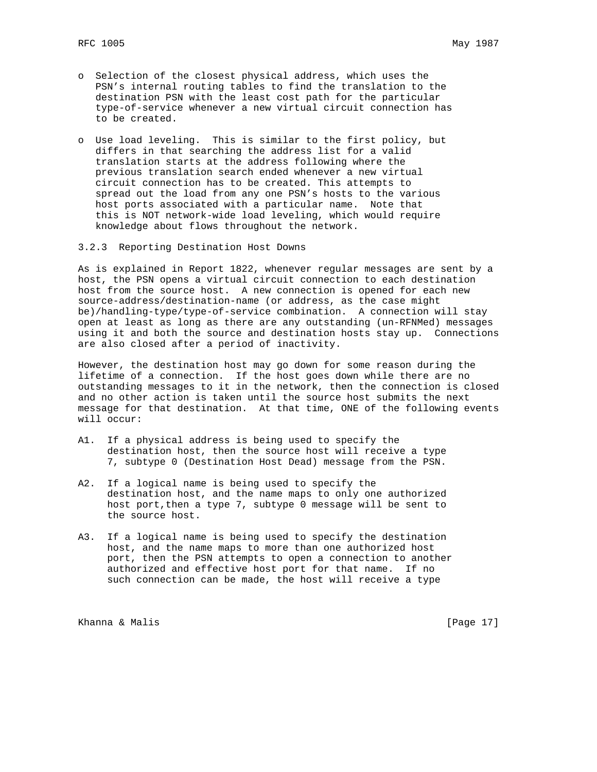- o Selection of the closest physical address, which uses the PSN's internal routing tables to find the translation to the destination PSN with the least cost path for the particular type-of-service whenever a new virtual circuit connection has to be created.
- o Use load leveling. This is similar to the first policy, but differs in that searching the address list for a valid translation starts at the address following where the previous translation search ended whenever a new virtual circuit connection has to be created. This attempts to spread out the load from any one PSN's hosts to the various host ports associated with a particular name. Note that this is NOT network-wide load leveling, which would require knowledge about flows throughout the network.
- 3.2.3 Reporting Destination Host Downs

As is explained in Report 1822, whenever regular messages are sent by a host, the PSN opens a virtual circuit connection to each destination host from the source host. A new connection is opened for each new source-address/destination-name (or address, as the case might be)/handling-type/type-of-service combination. A connection will stay open at least as long as there are any outstanding (un-RFNMed) messages using it and both the source and destination hosts stay up. Connections are also closed after a period of inactivity.

However, the destination host may go down for some reason during the lifetime of a connection. If the host goes down while there are no outstanding messages to it in the network, then the connection is closed and no other action is taken until the source host submits the next message for that destination. At that time, ONE of the following events will occur:

- A1. If a physical address is being used to specify the destination host, then the source host will receive a type 7, subtype 0 (Destination Host Dead) message from the PSN.
- A2. If a logical name is being used to specify the destination host, and the name maps to only one authorized host port,then a type 7, subtype 0 message will be sent to the source host.
- A3. If a logical name is being used to specify the destination host, and the name maps to more than one authorized host port, then the PSN attempts to open a connection to another authorized and effective host port for that name. If no such connection can be made, the host will receive a type

Khanna & Malis **Extending Community** (Page 17)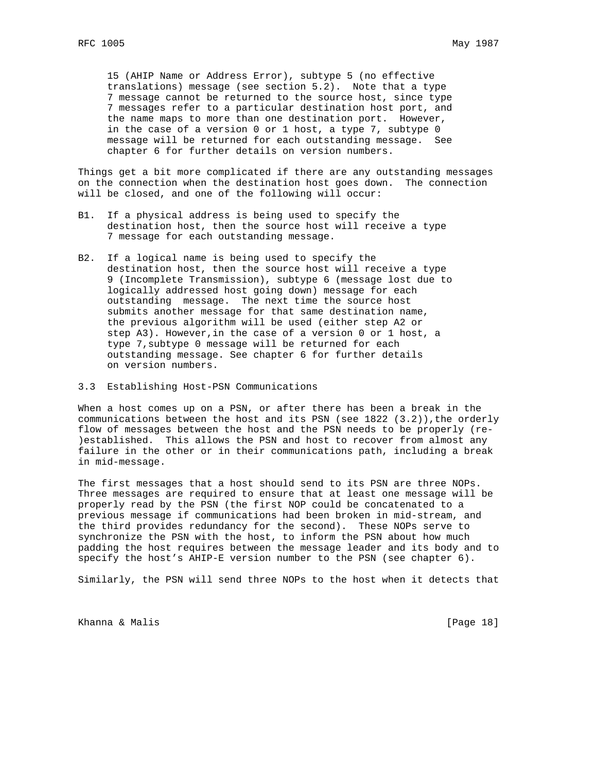15 (AHIP Name or Address Error), subtype 5 (no effective translations) message (see section 5.2). Note that a type 7 message cannot be returned to the source host, since type 7 messages refer to a particular destination host port, and the name maps to more than one destination port. However, in the case of a version 0 or 1 host, a type 7, subtype 0 message will be returned for each outstanding message. See chapter 6 for further details on version numbers.

Things get a bit more complicated if there are any outstanding messages on the connection when the destination host goes down. The connection will be closed, and one of the following will occur:

- B1. If a physical address is being used to specify the destination host, then the source host will receive a type 7 message for each outstanding message.
- B2. If a logical name is being used to specify the destination host, then the source host will receive a type 9 (Incomplete Transmission), subtype 6 (message lost due to logically addressed host going down) message for each outstanding message. The next time the source host submits another message for that same destination name, the previous algorithm will be used (either step A2 or step A3). However,in the case of a version 0 or 1 host, a type 7,subtype 0 message will be returned for each outstanding message. See chapter 6 for further details on version numbers.
- 3.3 Establishing Host-PSN Communications

When a host comes up on a PSN, or after there has been a break in the communications between the host and its PSN (see  $1822$   $(3.2)$ ), the orderly flow of messages between the host and the PSN needs to be properly (re- )established. This allows the PSN and host to recover from almost any failure in the other or in their communications path, including a break in mid-message.

The first messages that a host should send to its PSN are three NOPs. Three messages are required to ensure that at least one message will be properly read by the PSN (the first NOP could be concatenated to a previous message if communications had been broken in mid-stream, and the third provides redundancy for the second). These NOPs serve to synchronize the PSN with the host, to inform the PSN about how much padding the host requires between the message leader and its body and to specify the host's AHIP-E version number to the PSN (see chapter 6).

Similarly, the PSN will send three NOPs to the host when it detects that

Khanna & Malis **Extending Community** (Page 18)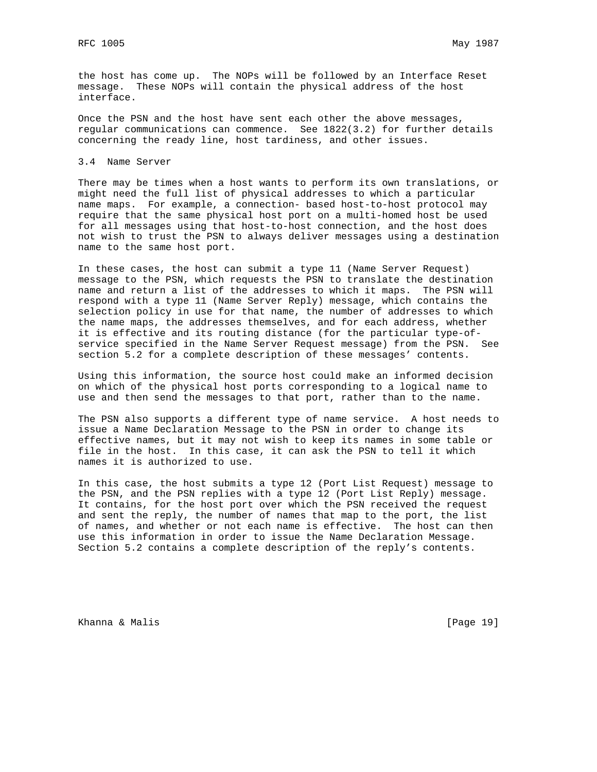the host has come up. The NOPs will be followed by an Interface Reset message. These NOPs will contain the physical address of the host interface.

Once the PSN and the host have sent each other the above messages, regular communications can commence. See 1822(3.2) for further details concerning the ready line, host tardiness, and other issues.

3.4 Name Server

There may be times when a host wants to perform its own translations, or might need the full list of physical addresses to which a particular name maps. For example, a connection- based host-to-host protocol may require that the same physical host port on a multi-homed host be used for all messages using that host-to-host connection, and the host does not wish to trust the PSN to always deliver messages using a destination name to the same host port.

In these cases, the host can submit a type 11 (Name Server Request) message to the PSN, which requests the PSN to translate the destination name and return a list of the addresses to which it maps. The PSN will respond with a type 11 (Name Server Reply) message, which contains the selection policy in use for that name, the number of addresses to which the name maps, the addresses themselves, and for each address, whether it is effective and its routing distance (for the particular type-ofservice specified in the Name Server Request message) from the PSN. See section 5.2 for a complete description of these messages' contents.

Using this information, the source host could make an informed decision on which of the physical host ports corresponding to a logical name to use and then send the messages to that port, rather than to the name.

The PSN also supports a different type of name service. A host needs to issue a Name Declaration Message to the PSN in order to change its effective names, but it may not wish to keep its names in some table or file in the host. In this case, it can ask the PSN to tell it which names it is authorized to use.

In this case, the host submits a type 12 (Port List Request) message to the PSN, and the PSN replies with a type 12 (Port List Reply) message. It contains, for the host port over which the PSN received the request and sent the reply, the number of names that map to the port, the list of names, and whether or not each name is effective. The host can then use this information in order to issue the Name Declaration Message. Section 5.2 contains a complete description of the reply's contents.

Khanna & Malis **Extending Community** (Page 19)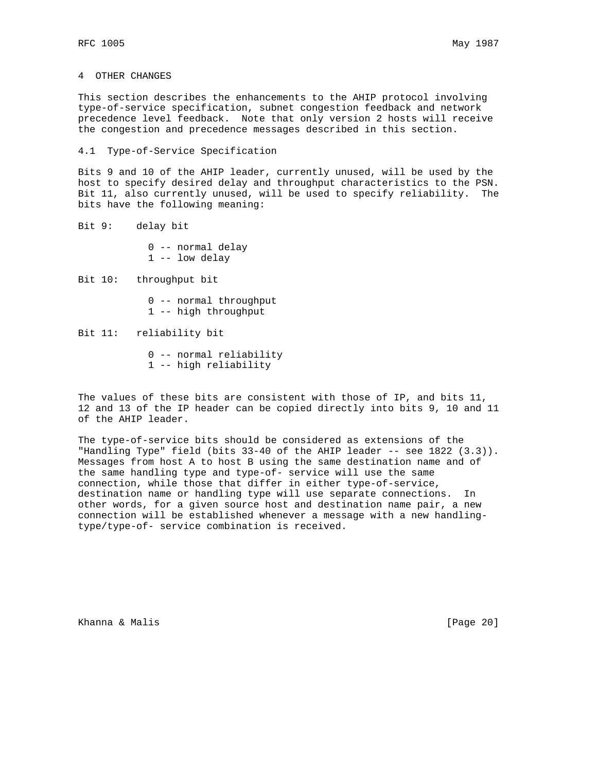4 OTHER CHANGES

This section describes the enhancements to the AHIP protocol involving type-of-service specification, subnet congestion feedback and network precedence level feedback. Note that only version 2 hosts will receive the congestion and precedence messages described in this section.

4.1 Type-of-Service Specification

Bits 9 and 10 of the AHIP leader, currently unused, will be used by the host to specify desired delay and throughput characteristics to the PSN. Bit 11, also currently unused, will be used to specify reliability. The bits have the following meaning:

Bit 9: delay bit

 0 -- normal delay 1 -- low delay

Bit 10: throughput bit

- 0 -- normal throughput
- 1 -- high throughput

### Bit 11: reliability bit

- 0 -- normal reliability
- 1 -- high reliability

The values of these bits are consistent with those of IP, and bits 11, 12 and 13 of the IP header can be copied directly into bits 9, 10 and 11 of the AHIP leader.

The type-of-service bits should be considered as extensions of the "Handling Type" field (bits 33-40 of the AHIP leader -- see 1822 (3.3)). Messages from host A to host B using the same destination name and of the same handling type and type-of- service will use the same connection, while those that differ in either type-of-service, destination name or handling type will use separate connections. In other words, for a given source host and destination name pair, a new connection will be established whenever a message with a new handlingtype/type-of- service combination is received.

Khanna & Malis **Extending Community** (Page 20)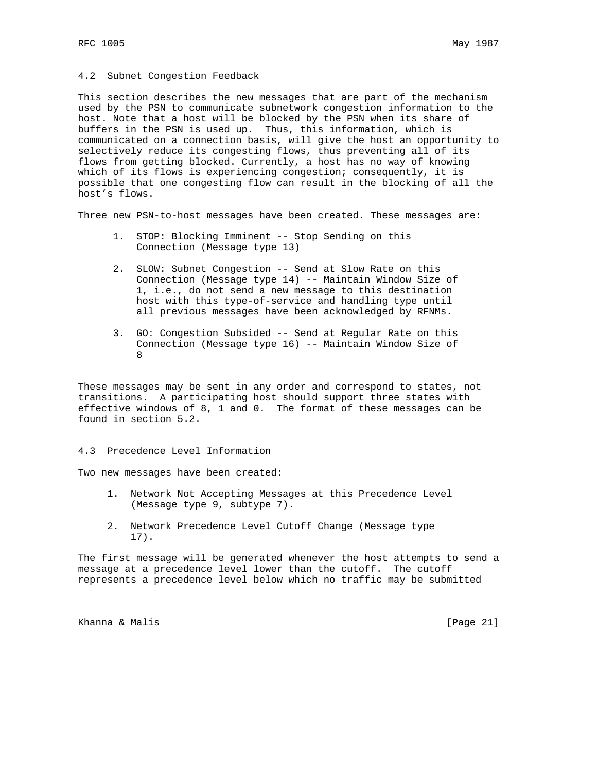#### 4.2 Subnet Congestion Feedback

This section describes the new messages that are part of the mechanism used by the PSN to communicate subnetwork congestion information to the host. Note that a host will be blocked by the PSN when its share of buffers in the PSN is used up. Thus, this information, which is communicated on a connection basis, will give the host an opportunity to selectively reduce its congesting flows, thus preventing all of its flows from getting blocked. Currently, a host has no way of knowing which of its flows is experiencing congestion; consequently, it is possible that one congesting flow can result in the blocking of all the host's flows.

Three new PSN-to-host messages have been created. These messages are:

- 1. STOP: Blocking Imminent -- Stop Sending on this Connection (Message type 13)
- 2. SLOW: Subnet Congestion -- Send at Slow Rate on this Connection (Message type 14) -- Maintain Window Size of 1, i.e., do not send a new message to this destination host with this type-of-service and handling type until all previous messages have been acknowledged by RFNMs.
- 3. GO: Congestion Subsided -- Send at Regular Rate on this Connection (Message type 16) -- Maintain Window Size of 8

These messages may be sent in any order and correspond to states, not transitions. A participating host should support three states with effective windows of 8, 1 and 0. The format of these messages can be found in section 5.2.

4.3 Precedence Level Information

Two new messages have been created:

- 1. Network Not Accepting Messages at this Precedence Level (Message type 9, subtype 7).
- 2. Network Precedence Level Cutoff Change (Message type 17).

The first message will be generated whenever the host attempts to send a message at a precedence level lower than the cutoff. The cutoff represents a precedence level below which no traffic may be submitted

Khanna & Malis **Extending Community** (Page 21)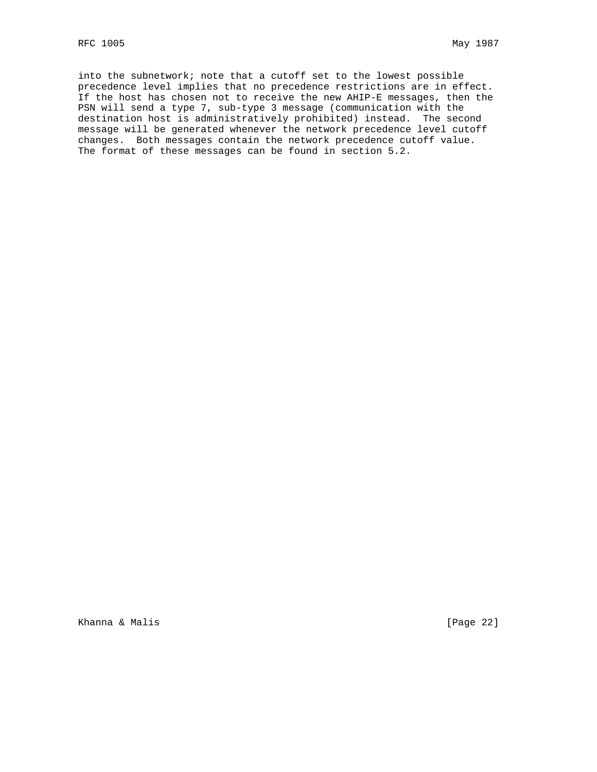into the subnetwork; note that a cutoff set to the lowest possible precedence level implies that no precedence restrictions are in effect. If the host has chosen not to receive the new AHIP-E messages, then the PSN will send a type 7, sub-type 3 message (communication with the destination host is administratively prohibited) instead. The second message will be generated whenever the network precedence level cutoff changes. Both messages contain the network precedence cutoff value. The format of these messages can be found in section 5.2.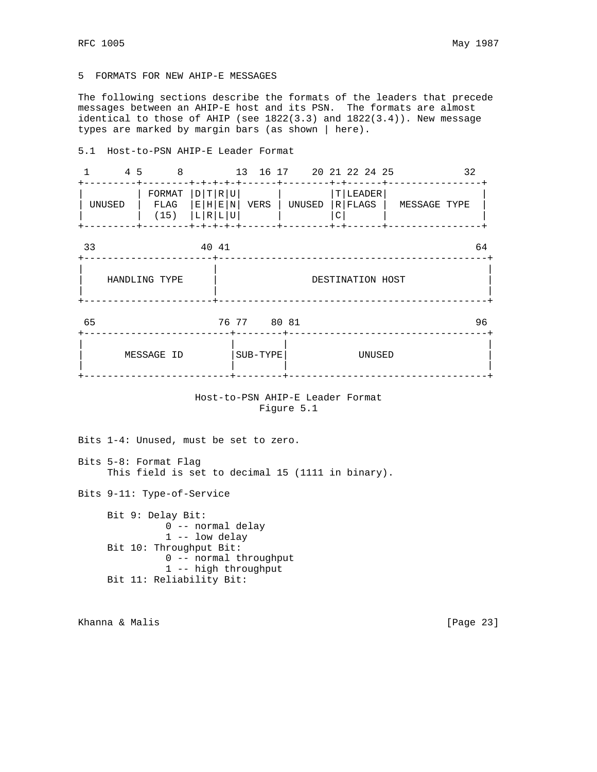## 5 FORMATS FOR NEW AHIP-E MESSAGES

The following sections describe the formats of the leaders that precede messages between an AHIP-E host and its PSN. The formats are almost identical to those of AHIP (see 1822(3.3) and 1822(3.4)). New message types are marked by margin bars (as shown | here).

#### 5.1 Host-to-PSN AHIP-E Leader Format

| 4 5<br>1      | $\overline{8}$                                         |                                     |                  | 13 16 17 20 21 22 24 25           |   | $+ - + - - - - - +$  |              | 32 |  |
|---------------|--------------------------------------------------------|-------------------------------------|------------------|-----------------------------------|---|----------------------|--------------|----|--|
| UNUSED        | FORMAT<br>$FLAG$ $ E H E N $<br>-----+-------+-+-+-+-+ | T R U <br> D <br>$(15)$ $ L R L U $ | VERS             | UNUSED<br>-----+-------+-+------+ | C | T LEADER <br>R FLAGS | MESSAGE TYPE |    |  |
| 33            |                                                        | 40 41                               |                  |                                   |   |                      |              | 64 |  |
| HANDLING TYPE |                                                        |                                     | DESTINATION HOST |                                   |   |                      |              |    |  |
| 65            |                                                        |                                     | 76 77 80 81      |                                   |   |                      |              | 96 |  |
|               | MESSAGE ID                                             |                                     | SUB-TYPE         |                                   |   | UNUSED               |              |    |  |

## Host-to-PSN AHIP-E Leader Format Figure 5.1

Bits 1-4: Unused, must be set to zero.

Bits 5-8: Format Flag This field is set to decimal 15 (1111 in binary).

Bits 9-11: Type-of-Service

 Bit 9: Delay Bit: 0 -- normal delay 1 -- low delay Bit 10: Throughput Bit: 0 -- normal throughput 1 -- high throughput Bit 11: Reliability Bit:

Khanna & Malis **Extending Community** (Page 23)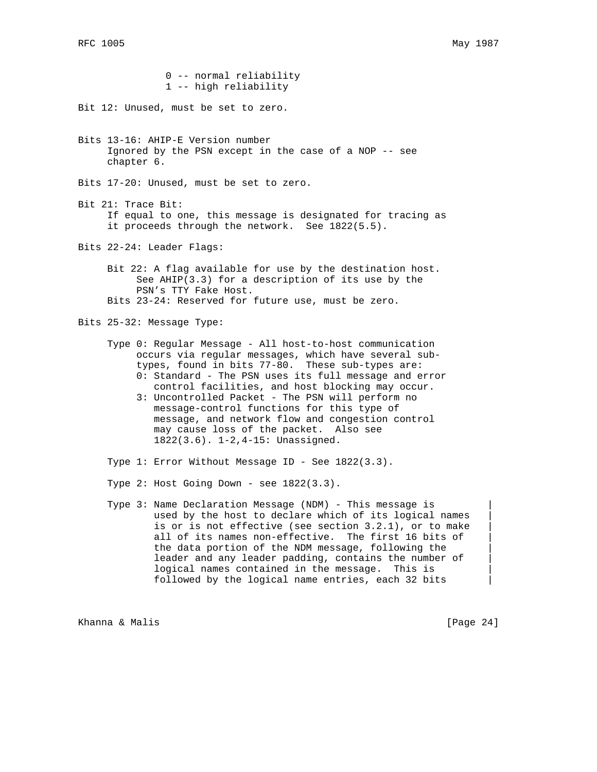0 -- normal reliability 1 -- high reliability Bit 12: Unused, must be set to zero. Bits 13-16: AHIP-E Version number Ignored by the PSN except in the case of a NOP -- see chapter 6. Bits 17-20: Unused, must be set to zero. Bit 21: Trace Bit: If equal to one, this message is designated for tracing as it proceeds through the network. See 1822(5.5). Bits 22-24: Leader Flags: Bit 22: A flag available for use by the destination host. See  $AHP(3.3)$  for a description of its use by the PSN's TTY Fake Host. Bits 23-24: Reserved for future use, must be zero. Bits 25-32: Message Type: Type 0: Regular Message - All host-to-host communication

- occurs via regular messages, which have several sub types, found in bits 77-80. These sub-types are: 0: Standard - The PSN uses its full message and error control facilities, and host blocking may occur.
	- 3: Uncontrolled Packet The PSN will perform no message-control functions for this type of message, and network flow and congestion control may cause loss of the packet. Also see 1822(3.6). 1-2,4-15: Unassigned.
- Type 1: Error Without Message ID See 1822(3.3).
- Type  $2:$  Host Going Down see  $1822(3.3)$ .
- Type 3: Name Declaration Message (NDM) This message is | used by the host to declare which of its logical names is or is not effective (see section  $3.2.1$ ), or to make all of its names non-effective. The first 16 bits of the data portion of the NDM message, following the | leader and any leader padding, contains the number of logical names contained in the message. This is followed by the logical name entries, each 32 bits |

Khanna & Malis **Extending Community** (Page 24)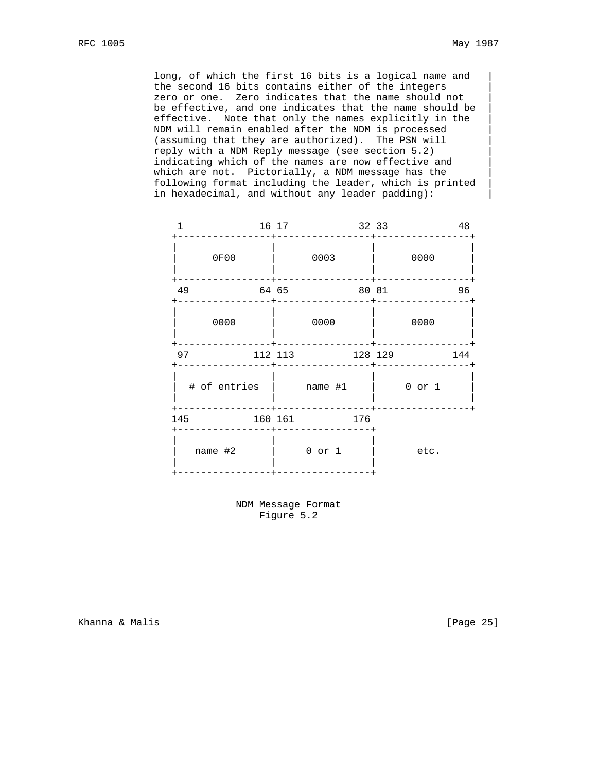long, of which the first 16 bits is a logical name and | the second 16 bits contains either of the integers | zero or one.  $\,$  Zero indicates that the name should not  $\,$   $\,$   $\,$   $\,$  be effective, and one indicates that the name should be | effective. Note that only the names explicitly in the | NDM will remain enabled after the NDM is processed | (assuming that they are authorized). The PSN will | reply with a NDM Reply message (see section 5.2) | indicating which of the names are now effective and | which are not. Pictorially, a NDM message has the following format including the leader, which is printed | in hexadecimal, and without any leader padding):

|         | 16 17 |                  |         |                                 | 48                        |
|---------|-------|------------------|---------|---------------------------------|---------------------------|
| 0F00    |       | 0003             |         | 0000                            |                           |
| 49      |       |                  |         |                                 | 96                        |
| 0000    |       | 0000             |         | 0000                            |                           |
| 97      |       |                  |         |                                 | 144                       |
|         |       |                  |         | $0$ or $1$                      |                           |
|         |       |                  |         |                                 |                           |
| name #2 |       | $0$ or $1$       |         | etc.                            |                           |
|         | 145   | 64 65<br>160 161 | 112 113 | # of entries   name #1  <br>176 | 32 33<br>80 81<br>128 129 |

 NDM Message Format Figure 5.2

Khanna & Malis **Extending Contract Contract Contract Contract Contract Contract Contract Contract Contract Contract Contract Contract Contract Contract Contract Contract Contract Contract Contract Contract Contract Contrac**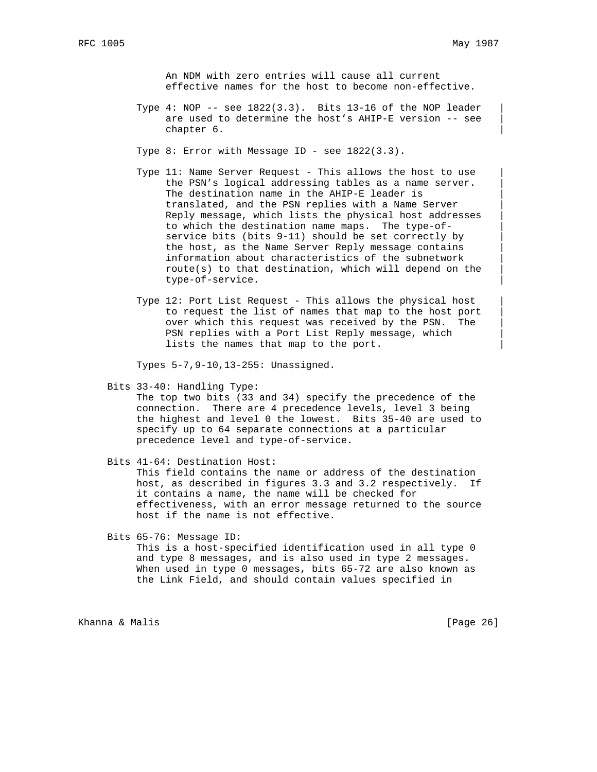An NDM with zero entries will cause all current effective names for the host to become non-effective.

Type  $4:$  NOP -- see  $1822(3.3)$ . Bits  $13-16$  of the NOP leader are used to determine the host's AHIP-E version -- see chapter 6.

Type 8: Error with Message ID - see 1822(3.3).

- Type 11: Name Server Request This allows the host to use the PSN's logical addressing tables as a name server. The destination name in the AHIP-E leader is translated, and the PSN replies with a Name Server | Reply message, which lists the physical host addresses | to which the destination name maps. The type-of service bits (bits 9-11) should be set correctly by | the host, as the Name Server Reply message contains | information about characteristics of the subnetwork | route(s) to that destination, which will depend on the | type-of-service. |
- Type 12: Port List Request This allows the physical host | to request the list of names that map to the host port | over which this request was received by the PSN. The | PSN replies with a Port List Reply message, which lists the names that map to the port.

Types 5-7,9-10,13-255: Unassigned.

Bits 33-40: Handling Type:

 The top two bits (33 and 34) specify the precedence of the connection. There are 4 precedence levels, level 3 being the highest and level 0 the lowest. Bits 35-40 are used to specify up to 64 separate connections at a particular precedence level and type-of-service.

Bits 41-64: Destination Host:

 This field contains the name or address of the destination host, as described in figures 3.3 and 3.2 respectively. If it contains a name, the name will be checked for effectiveness, with an error message returned to the source host if the name is not effective.

Bits 65-76: Message ID:

 This is a host-specified identification used in all type 0 and type 8 messages, and is also used in type 2 messages. When used in type 0 messages, bits 65-72 are also known as the Link Field, and should contain values specified in

Khanna & Malis **Extending Community** (Page 26)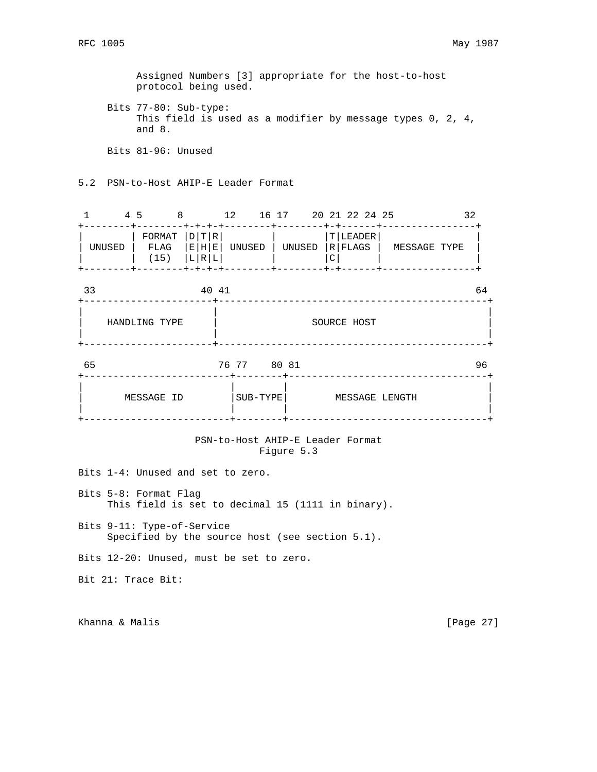Assigned Numbers [3] appropriate for the host-to-host protocol being used.

 Bits 77-80: Sub-type: This field is used as a modifier by message types 0, 2, 4, and 8.

Bits 81-96: Unused

5.2 PSN-to-Host AHIP-E Leader Format

|        | 45 |              |                                       | 12     | 16 17  | 20 21 22 24 25        |              |  |
|--------|----|--------------|---------------------------------------|--------|--------|-----------------------|--------------|--|
| UNUSED |    | FLAG<br>(15) | $FORMAT$ $D T R$<br> E H E <br> L R L | UNUSED | UNUSED | T LEADER <br> R FLAGS | MESSAGE TYPE |  |

| 33 |               | 40 41 |             |             | 64 |
|----|---------------|-------|-------------|-------------|----|
|    | HANDLING TYPE |       |             | SOURCE HOST |    |
| 65 |               |       | 76 77 80 81 |             | 96 |
|    |               |       |             |             |    |

| MESSAGE ID |SUB-TYPE| MESSAGE LENGTH |

+-------------------------+--------+----------------------------------+

| | | |

## PSN-to-Host AHIP-E Leader Format Figure 5.3

Bits 1-4: Unused and set to zero.

Bits 5-8: Format Flag This field is set to decimal 15 (1111 in binary).

Bits 9-11: Type-of-Service Specified by the source host (see section 5.1).

Bits 12-20: Unused, must be set to zero.

Bit 21: Trace Bit:

Khanna & Malis **Extending Community** Channel Channel Channel Channel Channel Channel Channel Channel Channel Channel Channel Channel Channel Channel Channel Channel Channel Channel Channel Channel Channel Channel Channel C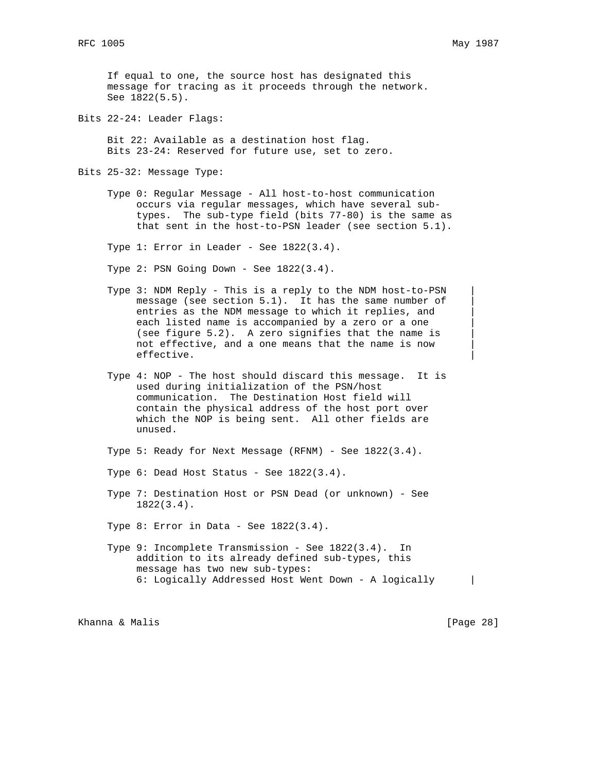If equal to one, the source host has designated this message for tracing as it proceeds through the network. See 1822(5.5).

Bits 22-24: Leader Flags:

 Bit 22: Available as a destination host flag. Bits 23-24: Reserved for future use, set to zero.

Bits 25-32: Message Type:

 Type 0: Regular Message - All host-to-host communication occurs via regular messages, which have several sub types. The sub-type field (bits 77-80) is the same as that sent in the host-to-PSN leader (see section 5.1).

Type 1: Error in Leader - See 1822(3.4).

Type 2: PSN Going Down - See 1822(3.4).

- Type 3: NDM Reply This is a reply to the NDM host-to-PSN | message (see section 5.1). It has the same number of entries as the NDM message to which it replies, and | each listed name is accompanied by a zero or a one (see figure 5.2). A zero signifies that the name is | not effective, and a one means that the name is now | effective. |
- Type 4: NOP The host should discard this message. It is used during initialization of the PSN/host communication. The Destination Host field will contain the physical address of the host port over which the NOP is being sent. All other fields are unused.

Type 5: Ready for Next Message (RFNM) - See 1822(3.4).

- Type  $6:$  Dead Host Status See  $1822(3.4)$ .
- Type 7: Destination Host or PSN Dead (or unknown) See 1822(3.4).

Type 8: Error in Data - See 1822(3.4).

 Type 9: Incomplete Transmission - See 1822(3.4). In addition to its already defined sub-types, this message has two new sub-types: 6: Logically Addressed Host Went Down - A logically |

Khanna & Malis **Extending Community** (Page 28)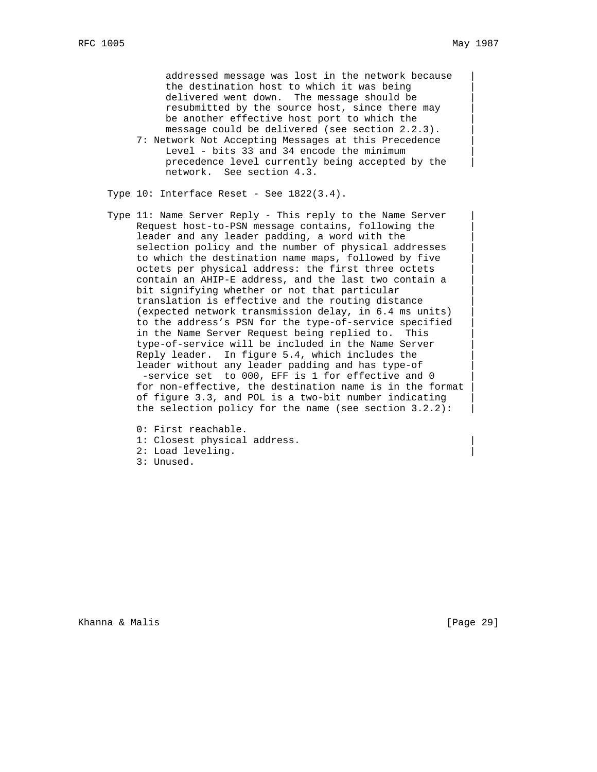addressed message was lost in the network because the destination host to which it was being | delivered went down. The message should be resubmitted by the source host, since there may | be another effective host port to which the message could be delivered (see section  $2.2.3$ ).

7: Network Not Accepting Messages at this Precedence Level - bits 33 and 34 encode the minimum precedence level currently being accepted by the network. See section 4.3.

Type  $10:$  Interface Reset - See  $1822(3.4)$ .

- Type 11: Name Server Reply This reply to the Name Server Request host-to-PSN message contains, following the | leader and any leader padding, a word with the selection policy and the number of physical addresses to which the destination name maps, followed by five | octets per physical address: the first three octets | contain an AHIP-E address, and the last two contain a | bit signifying whether or not that particular | translation is effective and the routing distance | (expected network transmission delay, in 6.4 ms units) | to the address's PSN for the type-of-service specified | in the Name Server Request being replied to. This type-of-service will be included in the Name Server | Reply leader. In figure 5.4, which includes the leader without any leader padding and has type-of -service set to 000, EFF is 1 for effective and 0 for non-effective, the destination name is in the format of figure 3.3, and POL is a two-bit number indicating | the selection policy for the name (see section  $3.2.2$ ):
	- 0: First reachable.
	- 1: Closest physical address.
	- 2: Load leveling. |
	- 3: Unused.

Khanna & Malis **Extending Community** (Page 29)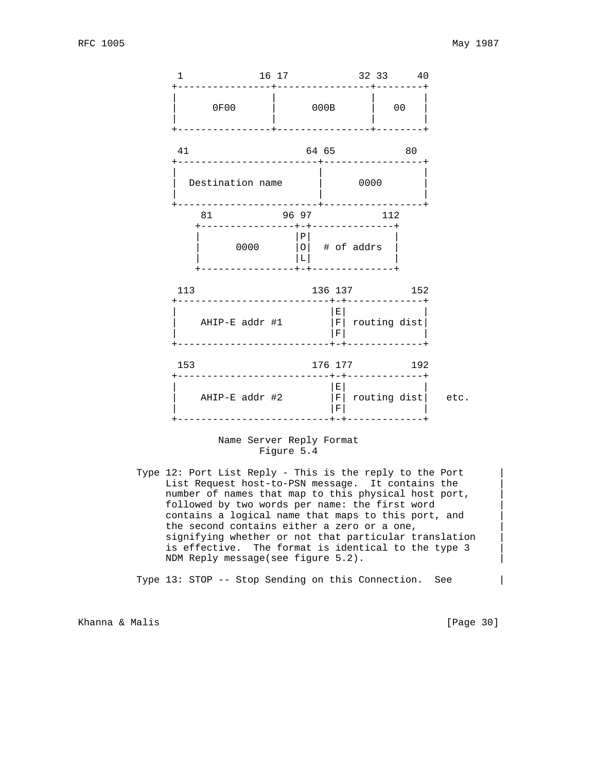

#### Name Server Reply Format Figure 5.4

Type 12: Port List Reply - This is the reply to the Port List Request host-to-PSN message. It contains the | number of names that map to this physical host port, followed by two words per name: the first word | contains a logical name that maps to this port, and | the second contains either a zero or a one, signifying whether or not that particular translation | is effective. The format is identical to the type 3 | NDM Reply message(see figure 5.2).

Type 13: STOP -- Stop Sending on this Connection. See |

Khanna & Malis **Extending Community** (Page 30)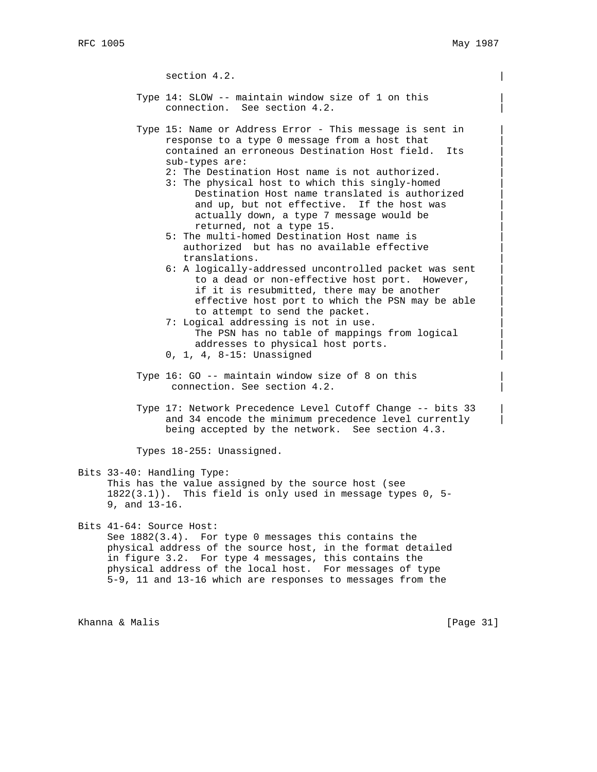section 4.2.

- Type 14: SLOW -- maintain window size of 1 on this | connection. See section 4.2.
- Type 15: Name or Address Error This message is sent in | response to a type 0 message from a host that | contained an erroneous Destination Host field. Its | sub-types are:
	- 2: The Destination Host name is not authorized.
	- 3: The physical host to which this singly-homed | Destination Host name translated is authorized | and up, but not effective. If the host was actually down, a type 7 message would be returned, not a type 15. |
	- 5: The multi-homed Destination Host name is | authorized but has no available effective translations. |
	- 6: A logically-addressed uncontrolled packet was sent | to a dead or non-effective host port. However, if it is resubmitted, there may be another effective host port to which the PSN may be able | to attempt to send the packet.
	- 7: Logical addressing is not in use. The PSN has no table of mappings from logical addresses to physical host ports.
	- 0, 1, 4, 8-15: Unassigned |
- Type 16: GO -- maintain window size of 8 on this | connection. See section 4.2.
- Type 17: Network Precedence Level Cutoff Change -- bits 33 | and 34 encode the minimum precedence level currently being accepted by the network. See section 4.3.

Types 18-255: Unassigned.

Bits 33-40: Handling Type: This has the value assigned by the source host (see  $1822(3.1)$ . This field is only used in message types 0, 5-9, and 13-16.

Bits 41-64: Source Host: See 1882(3.4). For type 0 messages this contains the physical address of the source host, in the format detailed in figure 3.2. For type 4 messages, this contains the physical address of the local host. For messages of type 5-9, 11 and 13-16 which are responses to messages from the

Khanna & Malis **Expansion Communist Communist Communist Communist Communist Communist Communist Communist Communist Communist Communist Communist Communist Communist Communist Communist Communist Communist Communist Commun**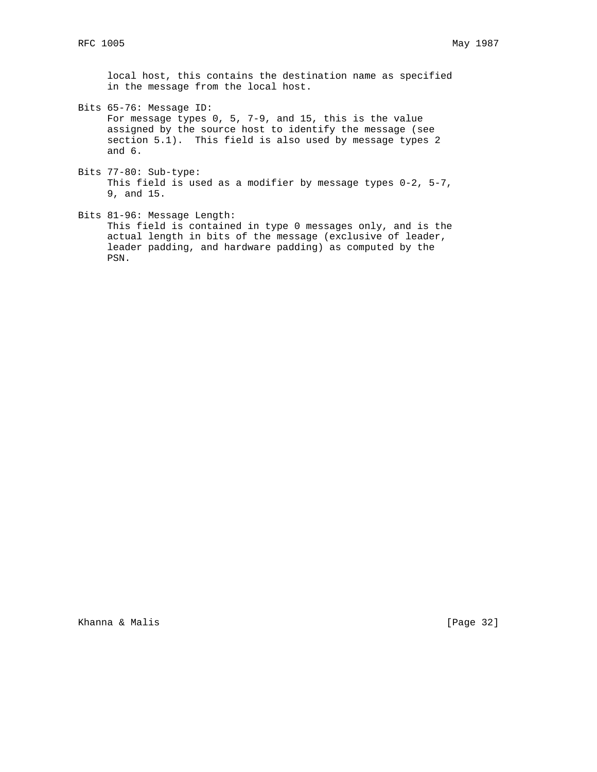local host, this contains the destination name as specified in the message from the local host.

- Bits 65-76: Message ID: For message types 0, 5, 7-9, and 15, this is the value assigned by the source host to identify the message (see section 5.1). This field is also used by message types 2 and 6.
- Bits 77-80: Sub-type: This field is used as a modifier by message types 0-2, 5-7, 9, and 15.
- Bits 81-96: Message Length: This field is contained in type 0 messages only, and is the actual length in bits of the message (exclusive of leader, leader padding, and hardware padding) as computed by the PSN.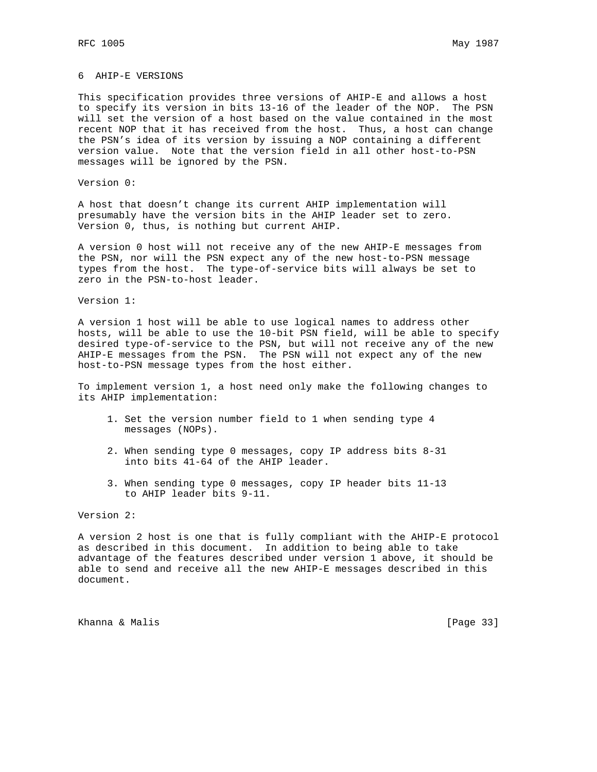### 6 AHIP-E VERSIONS

This specification provides three versions of AHIP-E and allows a host to specify its version in bits 13-16 of the leader of the NOP. The PSN will set the version of a host based on the value contained in the most recent NOP that it has received from the host. Thus, a host can change the PSN's idea of its version by issuing a NOP containing a different version value. Note that the version field in all other host-to-PSN messages will be ignored by the PSN.

Version 0:

A host that doesn't change its current AHIP implementation will presumably have the version bits in the AHIP leader set to zero. Version 0, thus, is nothing but current AHIP.

A version 0 host will not receive any of the new AHIP-E messages from the PSN, nor will the PSN expect any of the new host-to-PSN message types from the host. The type-of-service bits will always be set to zero in the PSN-to-host leader.

Version 1:

A version 1 host will be able to use logical names to address other hosts, will be able to use the 10-bit PSN field, will be able to specify desired type-of-service to the PSN, but will not receive any of the new AHIP-E messages from the PSN. The PSN will not expect any of the new host-to-PSN message types from the host either.

To implement version 1, a host need only make the following changes to its AHIP implementation:

- 1. Set the version number field to 1 when sending type 4 messages (NOPs).
- 2. When sending type 0 messages, copy IP address bits 8-31 into bits 41-64 of the AHIP leader.
- 3. When sending type 0 messages, copy IP header bits 11-13 to AHIP leader bits 9-11.

Version 2:

A version 2 host is one that is fully compliant with the AHIP-E protocol as described in this document. In addition to being able to take advantage of the features described under version 1 above, it should be able to send and receive all the new AHIP-E messages described in this document.

Khanna & Malis **Extending Community** (Page 33)